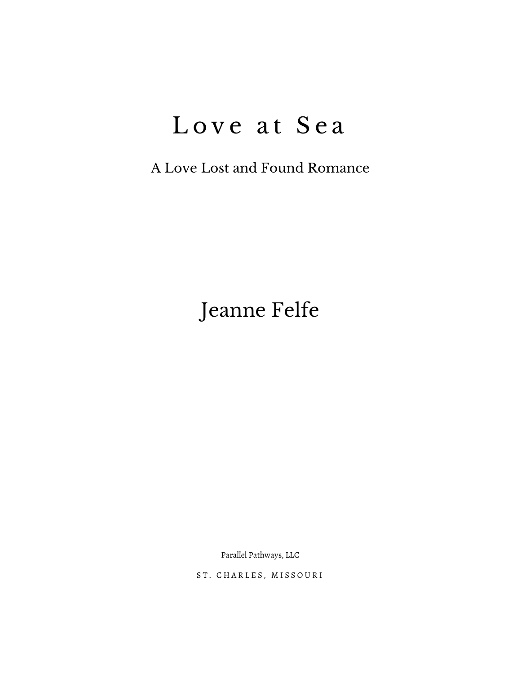## Love at Sea

A Love Lost and Found Romance

## Jeanne Felfe

Parallel Pathways, LLC

ST. CHARLES, MISSOURI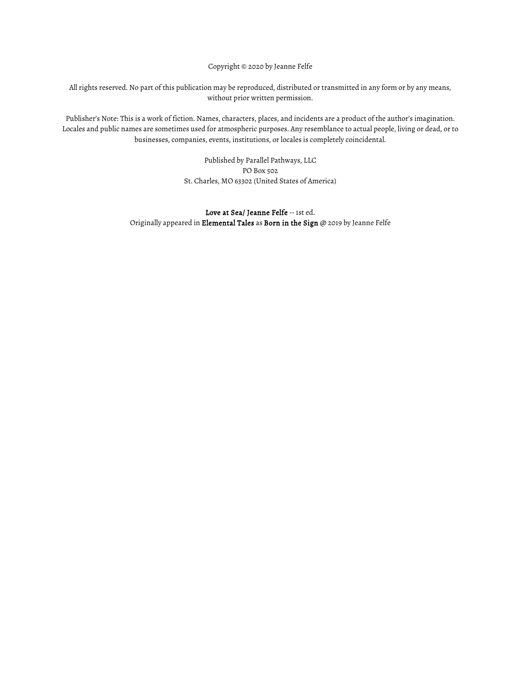Copyright © 2020 by Jeanne Felfe

All rights reserved. No part of this publication may be reproduced, distributed or transmitted in any form or by any means, without prior written permission.

Publisher's Note: This is a work of fiction. Names, characters, places, and incidents are a product of the author's imagination. Locales and public names are sometimes used for atmospheric purposes. Any resemblance to actual people, living or dead, or to businesses, companies, events, institutions, or locales is completely coincidental.

> Published by Parallel Pathways, LLC PO Box 502 St. Charles, MO 63302 (United States of America)

Love at Sea/ Jeanne Felfe -- 1st ed. Originally appeared in Elemental Tales as Born in the Sign @ 2019 by Jeanne Felfe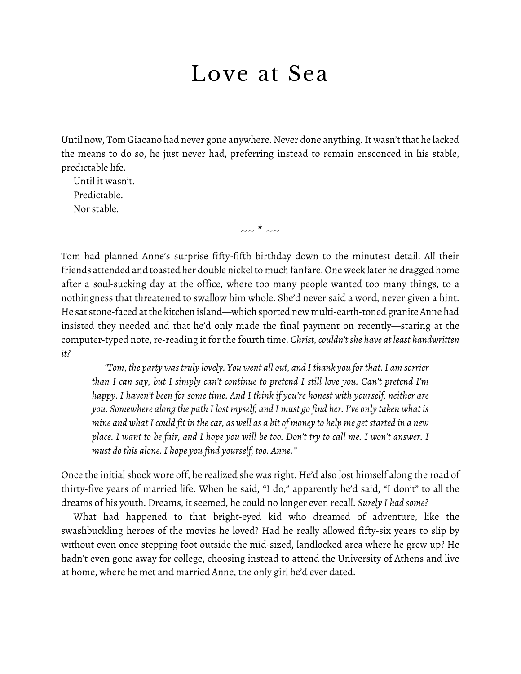## Love at Sea

Until now, Tom Giacano had never gone anywhere. Never done anything. It wasn't that he lacked the means to do so, he just never had, preferring instead to remain ensconced in his stable, predictable life.

Until it wasn't. Predictable. Nor stable.

 $\sim$  \*  $\sim$   $\sim$ 

Tom had planned Anne's surprise fifty-fifth birthday down to the minutest detail. All their friends attended and toasted her double nickel to much fanfare. One week later he dragged home after a soul-sucking day at the office, where too many people wanted too many things, to a nothingness that threatened to swallow him whole. She'd never said a word, never given a hint. He sat stone-faced at the kitchen island—which sported new multi-earth-toned granite Anne had insisted they needed and that he'd only made the final payment on recently—staring at the computer-typed note, re-reading it for the fourth time. *Christ, couldn't she have at least handwritten it?*

*"Tom, the party was truly lovely. You went all out, and I thank you for that. I am sorrier than I can say, but I simply can't continue to pretend I still love you. Can't pretend I'm happy. I haven't been for some time. And I think if you're honest with yourself, neither are you. Somewhere along the path I lost myself, and I must go find her. I've only taken what is mine and what I could fit in the car, as well as a bit of money to help me get started in a new place. I want to be fair, and I hope you will be too. Don't try to call me. I won't answer. I must do this alone. I hope you find yourself, too. Anne."*

Once the initial shock wore off, he realized she was right. He'd also lost himself along the road of thirty-five years of married life. When he said, "I do," apparently he'd said, "I don't" to all the dreams of his youth. Dreams, it seemed, he could no longer even recall. *Surely I had some?*

What had happened to that bright-eyed kid who dreamed of adventure, like the swashbuckling heroes of the movies he loved? Had he really allowed fifty-six years to slip by without even once stepping foot outside the mid-sized, landlocked area where he grew up? He hadn't even gone away for college, choosing instead to attend the University of Athens and live at home, where he met and married Anne, the only girl he'd ever dated.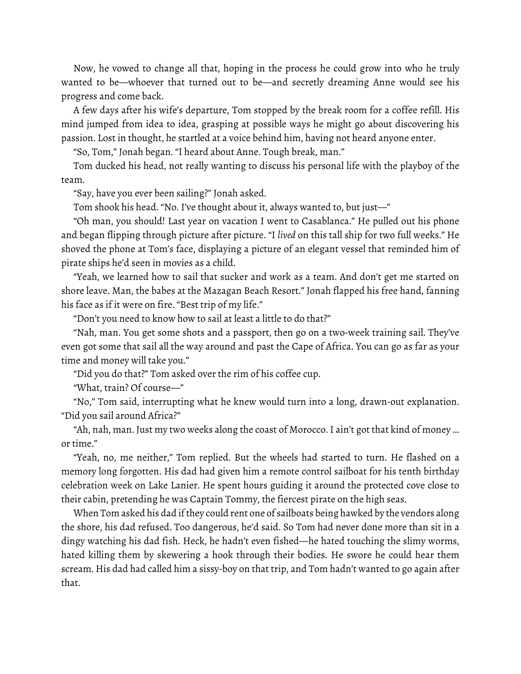Now, he vowed to change all that, hoping in the process he could grow into who he truly wanted to be—whoever that turned out to be—and secretly dreaming Anne would see his progress and come back.

A few days after his wife's departure, Tom stopped by the break room for a coffee refill. His mind jumped from idea to idea, grasping at possible ways he might go about discovering his passion. Lost in thought, he startled at a voice behind him, having not heard anyone enter.

"So, Tom," Jonah began. "I heard about Anne. Tough break, man."

Tom ducked his head, not really wanting to discuss his personal life with the playboy of the team.

"Say, have you ever been sailing?" Jonah asked.

Tom shook his head. "No. I've thought about it, always wanted to, but just—"

"Oh man, you should! Last year on vacation I went to Casablanca." He pulled out his phone and began flipping through picture after picture. "I *lived* on this tall ship for two full weeks." He shoved the phone at Tom's face, displaying a picture of an elegant vessel that reminded him of pirate ships he'd seen in movies as a child.

"Yeah, we learned how to sail that sucker and work as a team. And don't get me started on shore leave. Man, the babes at the Mazagan Beach Resort." Jonah flapped his free hand, fanning his face as if it were on fire. "Best trip of my life."

"Don't you need to know how to sail at least a little to do that?"

"Nah, man. You get some shots and a passport, then go on a two-week training sail. They've even got some that sail all the way around and past the Cape of Africa. You can go as far as your time and money will take you."

"Did you do that?" Tom asked over the rim of his coffee cup.

"What, train? Of course—"

"No," Tom said, interrupting what he knew would turn into a long, drawn-out explanation. "Did you sail around Africa?"

"Ah, nah, man. Just my two weeks along the coast of Morocco. I ain't got that kind of money … or time."

"Yeah, no, me neither," Tom replied. But the wheels had started to turn. He flashed on a memory long forgotten. His dad had given him a remote control sailboat for his tenth birthday celebration week on Lake Lanier. He spent hours guiding it around the protected cove close to their cabin, pretending he was Captain Tommy, the fiercest pirate on the high seas.

When Tom asked his dad if they could rent one of sailboats being hawked by the vendors along the shore, his dad refused. Too dangerous, he'd said. So Tom had never done more than sit in a dingy watching his dad fish. Heck, he hadn't even fished—he hated touching the slimy worms, hated killing them by skewering a hook through their bodies. He swore he could hear them scream. His dad had called him a sissy-boy on that trip, and Tom hadn't wanted to go again after that.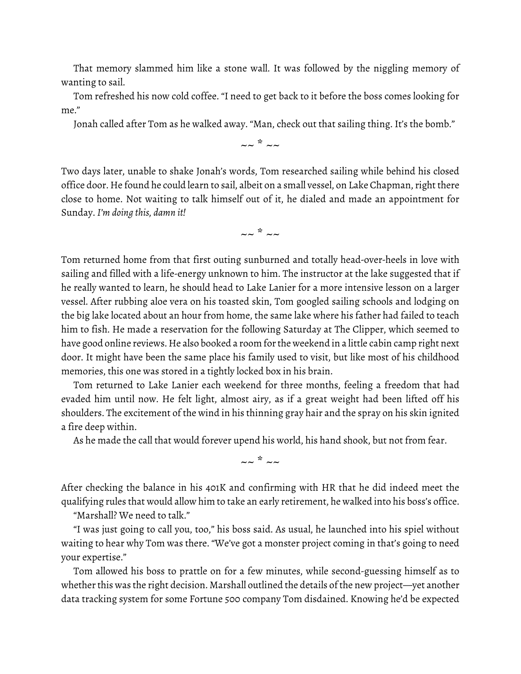That memory slammed him like a stone wall. It was followed by the niggling memory of wanting to sail.

Tom refreshed his now cold coffee. "I need to get back to it before the boss comes looking for me."

Jonah called after Tom as he walked away. "Man, check out that sailing thing. It's the bomb."

 $\sim$  \*  $\sim$   $\sim$ 

Two days later, unable to shake Jonah's words, Tom researched sailing while behind his closed office door. He found he could learn to sail, albeit on a small vessel, on Lake Chapman, right there close to home. Not waiting to talk himself out of it, he dialed and made an appointment for Sunday. *I'm doing this, damn it!*

 $\sim$   $\sim$   $\frac{4}{10}$   $\sim$   $\sim$ 

Tom returned home from that first outing sunburned and totally head-over-heels in love with sailing and filled with a life-energy unknown to him. The instructor at the lake suggested that if he really wanted to learn, he should head to Lake Lanier for a more intensive lesson on a larger vessel. After rubbing aloe vera on his toasted skin, Tom googled sailing schools and lodging on the big lake located about an hour from home, the same lake where his father had failed to teach him to fish. He made a reservation for the following Saturday at The Clipper, which seemed to have good online reviews. He also booked a room for the weekend in a little cabin camp right next door. It might have been the same place his family used to visit, but like most of his childhood memories, this one was stored in a tightly locked box in his brain.

Tom returned to Lake Lanier each weekend for three months, feeling a freedom that had evaded him until now. He felt light, almost airy, as if a great weight had been lifted off his shoulders. The excitement of the wind in his thinning gray hair and the spray on his skin ignited a fire deep within.

As he made the call that would forever upend his world, his hand shook, but not from fear.

 $\sim$  \*  $\sim$   $\sim$ 

After checking the balance in his 401K and confirming with HR that he did indeed meet the qualifying rules that would allow him to take an early retirement, he walked into his boss's office.

"Marshall? We need to talk."

"I was just going to call you, too," his boss said. As usual, he launched into his spiel without waiting to hear why Tom was there. "We've got a monster project coming in that's going to need your expertise."

Tom allowed his boss to prattle on for a few minutes, while second-guessing himself as to whether this was the right decision. Marshall outlined the details of the new project—yet another data tracking system for some Fortune 500 company Tom disdained. Knowing he'd be expected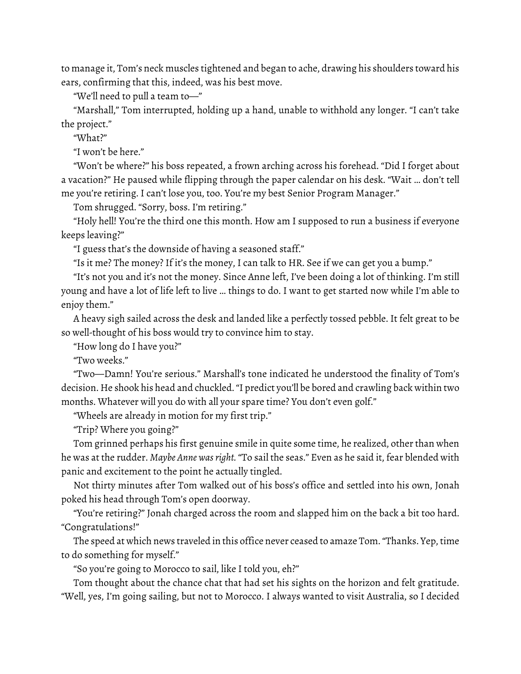to manage it, Tom's neck muscles tightened and began to ache, drawing his shoulders toward his ears, confirming that this, indeed, was his best move.

"We'll need to pull a team to—"

"Marshall," Tom interrupted, holding up a hand, unable to withhold any longer. "I can't take the project."

"What?"

"I won't be here."

"Won't be where?" his boss repeated, a frown arching across his forehead. "Did I forget about a vacation?" He paused while flipping through the paper calendar on his desk. "Wait … don't tell me you're retiring. I can't lose you, too. You're my best Senior Program Manager."

Tom shrugged. "Sorry, boss. I'm retiring."

"Holy hell! You're the third one this month. How am I supposed to run a business if everyone keeps leaving?"

"I guess that's the downside of having a seasoned staff."

"Is it me? The money? If it's the money, I can talk to HR. See if we can get you a bump."

"It's not you and it's not the money. Since Anne left, I've been doing a lot of thinking. I'm still young and have a lot of life left to live … things to do. I want to get started now while I'm able to enjoy them."

A heavy sigh sailed across the desk and landed like a perfectly tossed pebble. It felt great to be so well-thought of his boss would try to convince him to stay.

"How long do I have you?"

"Two weeks."

"Two—Damn! You're serious." Marshall's tone indicated he understood the finality of Tom's decision. He shook his head and chuckled. "I predict you'll be bored and crawling back within two months. Whatever will you do with all your spare time? You don't even golf."

"Wheels are already in motion for my first trip."

"Trip? Where you going?"

Tom grinned perhaps his first genuine smile in quite some time, he realized, other than when he was at the rudder. *Maybe Anne was right.* "To sail the seas." Even as he said it, fear blended with panic and excitement to the point he actually tingled.

Not thirty minutes after Tom walked out of his boss's office and settled into his own, Jonah poked his head through Tom's open doorway.

"You're retiring?" Jonah charged across the room and slapped him on the back a bit too hard. "Congratulations!"

The speed at which news traveled in this office never ceased to amaze Tom. "Thanks. Yep, time to do something for myself."

"So you're going to Morocco to sail, like I told you, eh?"

Tom thought about the chance chat that had set his sights on the horizon and felt gratitude. "Well, yes, I'm going sailing, but not to Morocco. I always wanted to visit Australia, so I decided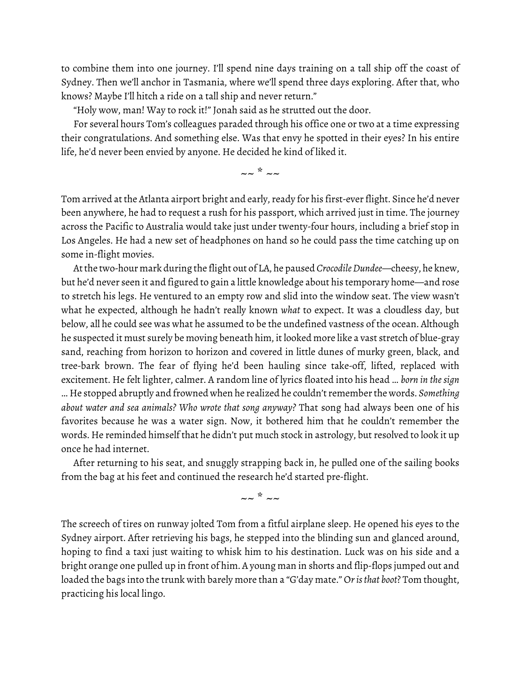to combine them into one journey. I'll spend nine days training on a tall ship off the coast of Sydney. Then we'll anchor in Tasmania, where we'll spend three days exploring. After that, who knows? Maybe I'll hitch a ride on a tall ship and never return."

"Holy wow, man! Way to rock it!" Jonah said as he strutted out the door.

For several hours Tom's colleagues paraded through his office one or two at a time expressing their congratulations. And something else. Was that envy he spotted in their eyes? In his entire life, he'd never been envied by anyone. He decided he kind of liked it.

 $\sim$   $\sim$   $\frac{4}{10}$   $\sim$   $\sim$ 

Tom arrived at the Atlanta airport bright and early, ready for his first-ever flight. Since he'd never been anywhere, he had to request a rush for his passport, which arrived just in time. The journey across the Pacific to Australia would take just under twenty-four hours, including a brief stop in Los Angeles. He had a new set of headphones on hand so he could pass the time catching up on some in-flight movies.

At the two-hour mark during the flight out of LA, he paused *Crocodile Dundee—*cheesy, he knew, but he'd never seen it and figured to gain a little knowledge about his temporary home—and rose to stretch his legs. He ventured to an empty row and slid into the window seat. The view wasn't what he expected, although he hadn't really known *what* to expect. It was a cloudless day, but below, all he could see was what he assumed to be the undefined vastness of the ocean. Although he suspected it must surely be moving beneath him, it looked more like a vast stretch of blue-gray sand, reaching from horizon to horizon and covered in little dunes of murky green, black, and tree-bark brown. The fear of flying he'd been hauling since take-off, lifted, replaced with excitement. He felt lighter, calmer. A random line of lyrics floated into his head … *born in the sign* … He stopped abruptly and frowned when he realized he couldn't remember the words. *Something about water and sea animals? Who wrote that song anyway?* That song had always been one of his favorites because he was a water sign. Now, it bothered him that he couldn't remember the words. He reminded himself that he didn't put much stock in astrology, but resolved to look it up once he had internet.

After returning to his seat, and snuggly strapping back in, he pulled one of the sailing books from the bag at his feet and continued the research he'd started pre-flight.

 $\sim$  \*  $\sim$   $\sim$ 

The screech of tires on runway jolted Tom from a fitful airplane sleep. He opened his eyes to the Sydney airport. After retrieving his bags, he stepped into the blinding sun and glanced around, hoping to find a taxi just waiting to whisk him to his destination. Luck was on his side and a bright orange one pulled up in front of him. A young man in shorts and flip-flops jumped out and loaded the bags into the trunk with barely more than a "G'day mate." O*r is that boot*? Tom thought, practicing his local lingo.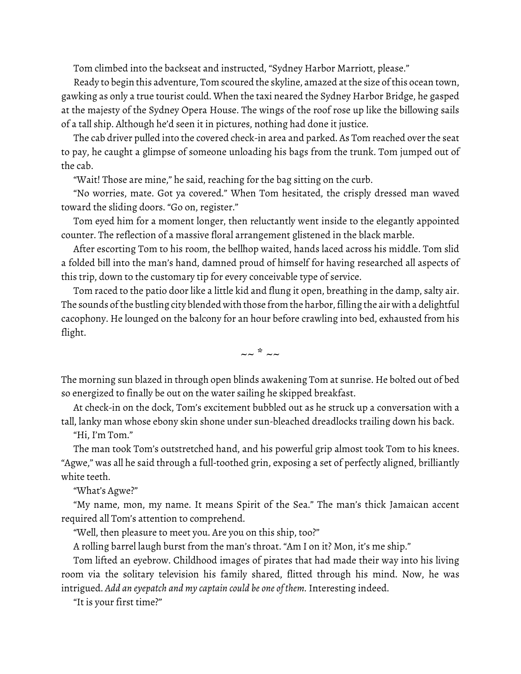Tom climbed into the backseat and instructed, "Sydney Harbor Marriott, please."

Ready to begin this adventure, Tom scoured the skyline, amazed at the size of this ocean town, gawking as only a true tourist could. When the taxi neared the Sydney Harbor Bridge, he gasped at the majesty of the Sydney Opera House. The wings of the roof rose up like the billowing sails of a tall ship. Although he'd seen it in pictures, nothing had done it justice.

The cab driver pulled into the covered check-in area and parked. As Tom reached over the seat to pay, he caught a glimpse of someone unloading his bags from the trunk. Tom jumped out of the cab.

"Wait! Those are mine," he said, reaching for the bag sitting on the curb.

"No worries, mate. Got ya covered." When Tom hesitated, the crisply dressed man waved toward the sliding doors. "Go on, register."

Tom eyed him for a moment longer, then reluctantly went inside to the elegantly appointed counter. The reflection of a massive floral arrangement glistened in the black marble.

After escorting Tom to his room, the bellhop waited, hands laced across his middle. Tom slid a folded bill into the man's hand, damned proud of himself for having researched all aspects of this trip, down to the customary tip for every conceivable type of service.

Tom raced to the patio door like a little kid and flung it open, breathing in the damp, salty air. The sounds of the bustling city blended with those from the harbor, filling the air with a delightful cacophony. He lounged on the balcony for an hour before crawling into bed, exhausted from his flight.

 $\sim$  \*  $\sim$   $\sim$ 

The morning sun blazed in through open blinds awakening Tom at sunrise. He bolted out of bed so energized to finally be out on the water sailing he skipped breakfast.

At check-in on the dock, Tom's excitement bubbled out as he struck up a conversation with a tall, lanky man whose ebony skin shone under sun-bleached dreadlocks trailing down his back.

"Hi, I'm Tom."

The man took Tom's outstretched hand, and his powerful grip almost took Tom to his knees. ["Agwe,](http://www.momjunction.com/baby-names/Agwe/)" was all he said through a full-toothed grin, exposing a set of perfectly aligned, brilliantly white teeth.

"What's [Agwe?](http://www.momjunction.com/baby-names/Agwe/)"

"My name, mon, my name. It means Spirit of the Sea." The man's thick Jamaican accent required all Tom's attention to comprehend.

"Well, then pleasure to meet you. Are you on this ship, too?"

A rolling barrel laugh burst from the man's throat. "Am I on it? Mon, it's me ship."

Tom lifted an eyebrow. Childhood images of pirates that had made their way into his living room via the solitary television his family shared, flitted through his mind. Now, he was intrigued. *Add an eyepatch and my captain could be one of them.* Interesting indeed.

"It is your first time?"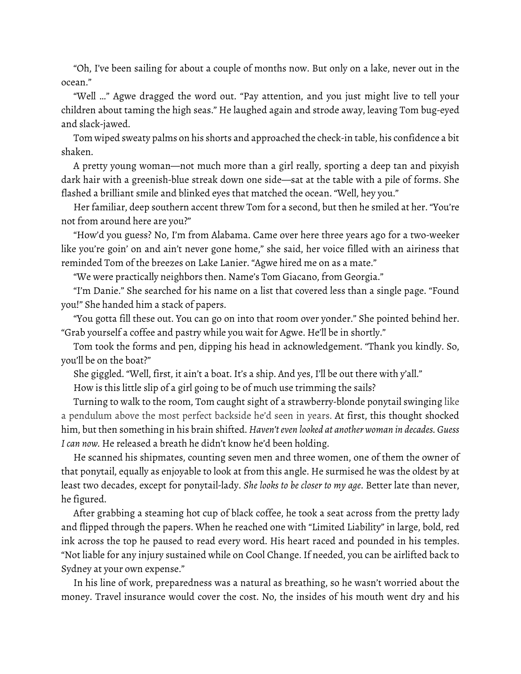"Oh, I've been sailing for about a couple of months now. But only on a lake, never out in the ocean."

"Well …" Agwe dragged the word out. "Pay attention, and you just might live to tell your children about taming the high seas." He laughed again and strode away, leaving Tom bug-eyed and slack-jawed.

Tom wiped sweaty palms on his shorts and approached the check-in table, his confidence a bit shaken.

A pretty young woman—not much more than a girl really, sporting a deep tan and pixyish dark hair with a greenish-blue streak down one side—sat at the table with a pile of forms. She flashed a brilliant smile and blinked eyes that matched the ocean. "Well, hey you."

Her familiar, deep southern accent threw Tom for a second, but then he smiled at her. "You're not from around here are you?"

"How'd you guess? No, I'm from Alabama. Came over here three years ago for a two-weeker like you're goin' on and ain't never gone home," she said, her voice filled with an airiness that reminded Tom of the breezes on Lake Lanier. "Agwe hired me on as a mate."

"We were practically neighbors then. Name's Tom Giacano, from Georgia."

"I'm Danie." She searched for his name on a list that covered less than a single page. "Found you!" She handed him a stack of papers.

"You gotta fill these out. You can go on into that room over yonder." She pointed behind her. "Grab yourself a coffee and pastry while you wait for Agwe. He'll be in shortly."

Tom took the forms and pen, dipping his head in acknowledgement. "Thank you kindly. So, you'll be on the boat?"

She giggled. "Well, first, it ain't a boat. It's a ship. And yes, I'll be out there with y'all."

How is this little slip of a girl going to be of much use trimming the sails?

Turning to walk to the room, Tom caught sight of a strawberry-blonde ponytail swinging like a pendulum above the most perfect backside he'd seen in years. At first, this thought shocked him, but then something in his brain shifted. *Haven't even looked at another woman in decades. Guess I can now.* He released a breath he didn't know he'd been holding.

He scanned his shipmates, counting seven men and three women, one of them the owner of that ponytail, equally as enjoyable to look at from this angle. He surmised he was the oldest by at least two decades, except for ponytail-lady. *She looks to be closer to my age*. Better late than never, he figured.

After grabbing a steaming hot cup of black coffee, he took a seat across from the pretty lady and flipped through the papers. When he reached one with "Limited Liability" in large, bold, red ink across the top he paused to read every word. His heart raced and pounded in his temples. "Not liable for any injury sustained while on Cool Change. If needed, you can be airlifted back to Sydney at your own expense."

In his line of work, preparedness was a natural as breathing, so he wasn't worried about the money. Travel insurance would cover the cost. No, the insides of his mouth went dry and his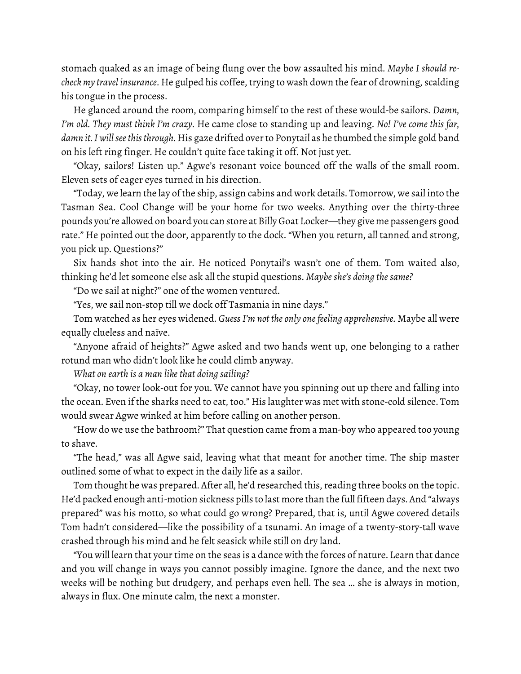stomach quaked as an image of being flung over the bow assaulted his mind. *Maybe I should recheck my travel insurance*. He gulped his coffee, trying to wash down the fear of drowning, scalding his tongue in the process.

He glanced around the room, comparing himself to the rest of these would-be sailors. *Damn, I'm old. They must think I'm crazy.* He came close to standing up and leaving. *No! I've come this far, damn it. I will see this through.* His gaze drifted over to Ponytail as he thumbed the simple gold band on his left ring finger. He couldn't quite face taking it off. Not just yet.

"Okay, sailors! Listen up." [Agwe's](http://www.momjunction.com/baby-names/Agwe/) resonant voice bounced off the walls of the small room. Eleven sets of eager eyes turned in his direction.

"Today, we learn the lay of the ship, assign cabins and work details. Tomorrow, we sail into the Tasman Sea. Cool Change will be your home for two weeks. Anything over the thirty-three pounds you're allowed on board you can store at Billy Goat Locker—they give me passengers good rate." He pointed out the door, apparently to the dock. "When you return, all tanned and strong, you pick up. Questions?"

Six hands shot into the air. He noticed Ponytail's wasn't one of them. Tom waited also, thinking he'd let someone else ask all the stupid questions. *Maybe she's doing the same?*

"Do we sail at night?" one of the women ventured.

"Yes, we sail non-stop till we dock off Tasmania in nine days."

Tom watched as her eyes widened. *Guess I'm not the only one feeling apprehensive.* Maybe all were equally clueless and naïve.

"Anyone afraid of heights?" Agwe asked and two hands went up, one belonging to a rather rotund man who didn't look like he could climb anyway.

*What on earth is a man like that doing sailing?*

"Okay, no tower look-out for you. We cannot have you spinning out up there and falling into the ocean. Even if the sharks need to eat, too." His laughter was met with stone-cold silence. Tom would swear Agwe winked at him before calling on another person.

"How do we use the bathroom?" That question came from a man-boy who appeared too young to shave.

"The head," was all Agwe said, leaving what that meant for another time. The ship master outlined some of what to expect in the daily life as a sailor.

Tom thought he was prepared. After all, he'd researched this, reading three books on the topic. He'd packed enough anti-motion sickness pills to last more than the full fifteen days. And "always prepared" was his motto, so what could go wrong? Prepared, that is, until Agwe covered details Tom hadn't considered—like the possibility of a tsunami. An image of a twenty-story-tall wave crashed through his mind and he felt seasick while still on dry land.

"You will learn that your time on the seas is a dance with the forces of nature. Learn that dance and you will change in ways you cannot possibly imagine. Ignore the dance, and the next two weeks will be nothing but drudgery, and perhaps even hell. The sea … she is always in motion, always in flux. One minute calm, the next a monster.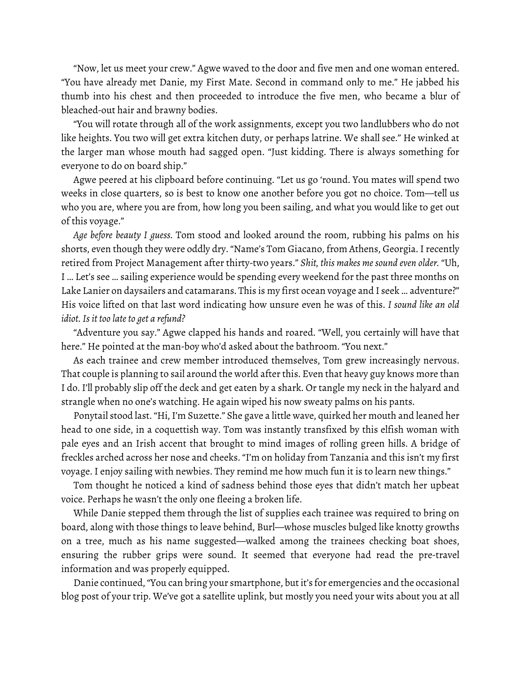"Now, let us meet your crew." Agwe waved to the door and five men and one woman entered. "You have already met Danie, my First Mate. Second in command only to me." He jabbed his thumb into his chest and then proceeded to introduce the five men, who became a blur of bleached-out hair and brawny bodies.

"You will rotate through all of the work assignments, except you two landlubbers who do not like heights. You two will get extra kitchen duty, or perhaps latrine. We shall see." He winked at the larger man whose mouth had sagged open. "Just kidding. There is always something for everyone to do on board ship."

Agwe peered at his clipboard before continuing. "Let us go 'round. You mates will spend two weeks in close quarters, so is best to know one another before you got no choice. Tom—tell us who you are, where you are from, how long you been sailing, and what you would like to get out of this voyage."

*Age before beauty I guess.* Tom stood and looked around the room, rubbing his palms on his shorts, even though they were oddly dry. "Name's Tom Giacano, from Athens, Georgia. I recently retired from Project Management after thirty-two years." *Shit, this makes me sound even older.* "Uh, I … Let's see … sailing experience would be spending every weekend for the past three months on Lake Lanier on daysailers and catamarans. This is my first ocean voyage and I seek … adventure?" His voice lifted on that last word indicating how unsure even he was of this. *I sound like an old idiot. Is it too late to get a refund?*

"Adventure you say." Agwe clapped his hands and roared. "Well, you certainly will have that here." He pointed at the man-boy who'd asked about the bathroom. "You next."

As each trainee and crew member introduced themselves, Tom grew increasingly nervous. That couple is planning to sail around the world after this. Even that heavy guy knows more than I do. I'll probably slip off the deck and get eaten by a shark. Or tangle my neck in the halyard and strangle when no one's watching. He again wiped his now sweaty palms on his pants.

Ponytail stood last. "Hi, I'm Suzette." She gave a little wave, quirked her mouth and leaned her head to one side, in a coquettish way. Tom was instantly transfixed by this elfish woman with pale eyes and an Irish accent that brought to mind images of rolling green hills. A bridge of freckles arched across her nose and cheeks. "I'm on holiday from Tanzania and this isn't my first voyage. I enjoy sailing with newbies. They remind me how much fun it is to learn new things."

Tom thought he noticed a kind of sadness behind those eyes that didn't match her upbeat voice. Perhaps he wasn't the only one fleeing a broken life.

While Danie stepped them through the list of supplies each trainee was required to bring on board, along with those things to leave behind, Burl—whose muscles bulged like knotty growths on a tree, much as his name suggested—walked among the trainees checking boat shoes, ensuring the rubber grips were sound. It seemed that everyone had read the pre-travel information and was properly equipped.

Danie continued, "You can bring your smartphone, but it's for emergencies and the occasional blog post of your trip. We've got a satellite uplink, but mostly you need your wits about you at all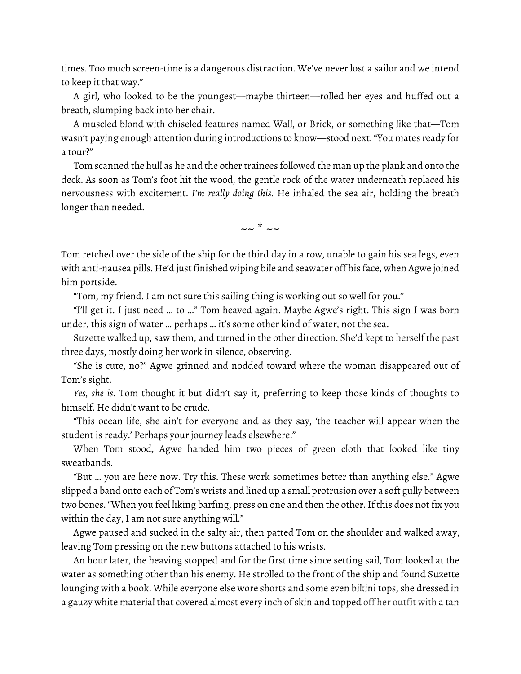times. Too much screen-time is a dangerous distraction. We've never lost a sailor and we intend to keep it that way."

A girl, who looked to be the youngest—maybe thirteen—rolled her eyes and huffed out a breath, slumping back into her chair.

A muscled blond with chiseled features named Wall, or Brick, or something like that—Tom wasn't paying enough attention during introductions to know—stood next. "You mates ready for a tour?"

Tom scanned the hull as he and the other trainees followed the man up the plank and onto the deck. As soon as Tom's foot hit the wood, the gentle rock of the water underneath replaced his nervousness with excitement. *I'm really doing this.* He inhaled the sea air, holding the breath longer than needed.

 $\sim$  \*  $\sim$   $\sim$ 

Tom retched over the side of the ship for the third day in a row, unable to gain his sea legs, even with anti-nausea pills. He'd just finished wiping bile and seawater off his face, when Agwe joined him portside.

"Tom, my friend. I am not sure this sailing thing is working out so well for you."

"I'll get it. I just need … to …" Tom heaved again. Maybe Agwe's right. This sign I was born under, this sign of water … perhaps … it's some other kind of water, not the sea.

Suzette walked up, saw them, and turned in the other direction. She'd kept to herself the past three days, mostly doing her work in silence, observing.

"She is cute, no?" Agwe grinned and nodded toward where the woman disappeared out of Tom's sight.

*Yes, she is.* Tom thought it but didn't say it, preferring to keep those kinds of thoughts to himself. He didn't want to be crude.

"This ocean life, she ain't for everyone and as they say, 'the teacher will appear when the student is ready.' Perhaps your journey leads elsewhere."

When Tom stood, Agwe handed him two pieces of green cloth that looked like tiny sweatbands.

"But … you are here now. Try this. These work sometimes better than anything else." Agwe slipped a band onto each of Tom's wrists and lined up a small protrusion over a soft gully between two bones. "When you feel liking barfing, press on one and then the other. If this does not fix you within the day, I am not sure anything will."

Agwe paused and sucked in the salty air, then patted Tom on the shoulder and walked away, leaving Tom pressing on the new buttons attached to his wrists.

An hour later, the heaving stopped and for the first time since setting sail, Tom looked at the water as something other than his enemy. He strolled to the front of the ship and found Suzette lounging with a book. While everyone else wore shorts and some even bikini tops, she dressed in a gauzy white material that covered almost every inch of skin and topped off her outfit with a tan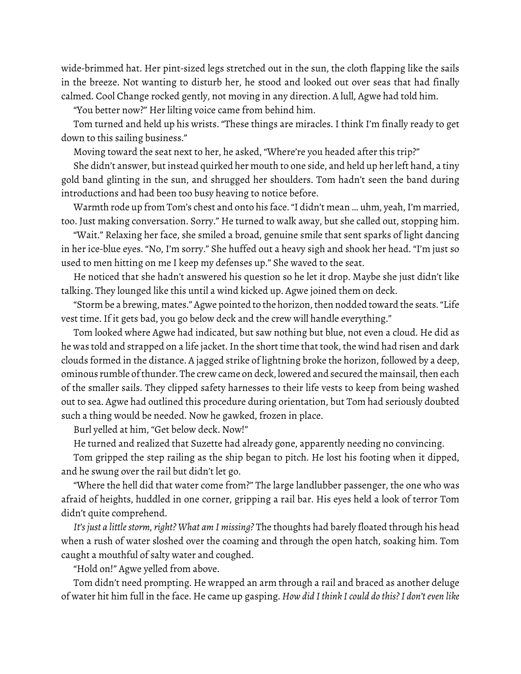wide-brimmed hat. Her pint-sized legs stretched out in the sun, the cloth flapping like the sails in the breeze. Not wanting to disturb her, he stood and looked out over seas that had finally calmed. Cool Change rocked gently, not moving in any direction. A lull, Agwe had told him.

"You better now?" Her lilting voice came from behind him.

Tom turned and held up his wrists. "These things are miracles. I think I'm finally ready to get down to this sailing business."

Moving toward the seat next to her, he asked, "Where're you headed after this trip?"

She didn't answer, but instead quirked her mouth to one side, and held up her left hand, a tiny gold band glinting in the sun, and shrugged her shoulders. Tom hadn't seen the band during introductions and had been too busy heaving to notice before.

Warmth rode up from Tom's chest and onto his face. "I didn't mean … uhm, yeah, I'm married, too. Just making conversation. Sorry." He turned to walk away, but she called out, stopping him.

"Wait." Relaxing her face, she smiled a broad, genuine smile that sent sparks of light dancing in her ice-blue eyes. "No, I'm sorry." She huffed out a heavy sigh and shook her head. "I'm just so used to men hitting on me I keep my defenses up." She waved to the seat.

He noticed that she hadn't answered his question so he let it drop. Maybe she just didn't like talking. They lounged like this until a wind kicked up. Agwe joined them on deck.

"Storm be a brewing, mates." Agwe pointed to the horizon, then nodded toward the seats. "Life vest time. If it gets bad, you go below deck and the crew will handle everything."

Tom looked where Agwe had indicated, but saw nothing but blue, not even a cloud. He did as he was told and strapped on a life jacket. In the short time that took, the wind had risen and dark clouds formed in the distance. A jagged strike of lightning broke the horizon, followed by a deep, ominous rumble of thunder. The crew came on deck, lowered and secured the mainsail, then each of the smaller sails. They clipped safety harnesses to their life vests to keep from being washed out to sea. Agwe had outlined this procedure during orientation, but Tom had seriously doubted such a thing would be needed. Now he gawked, frozen in place.

Burl yelled at him, "Get below deck. Now!"

He turned and realized that Suzette had already gone, apparently needing no convincing.

Tom gripped the step railing as the ship began to pitch. He lost his footing when it dipped, and he swung over the rail but didn't let go.

"Where the hell did that water come from?" The large landlubber passenger, the one who was afraid of heights, huddled in one corner, gripping a rail bar. His eyes held a look of terror Tom didn't quite comprehend.

*It's just a little storm, right? What am I missing?* The thoughts had barely floated through his head when a rush of water sloshed over the coaming and through the open hatch, soaking him. Tom caught a mouthful of salty water and coughed.

"Hold on!" Agwe yelled from above.

Tom didn't need prompting. He wrapped an arm through a rail and braced as another deluge of water hit him full in the face. He came up gasping. *How did I think I could do this? I don't even like*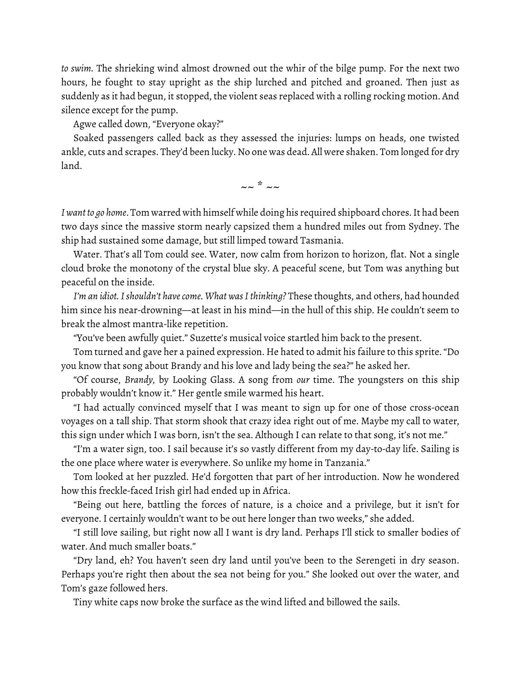*to swim.* The shrieking wind almost drowned out the whir of the bilge pump. For the next two hours, he fought to stay upright as the ship lurched and pitched and groaned. Then just as suddenly as it had begun, it stopped, the violent seas replaced with a rolling rocking motion. And silence except for the pump.

Agwe called down, "Everyone okay?"

Soaked passengers called back as they assessed the injuries: lumps on heads, one twisted ankle, cuts and scrapes. They'd been lucky. No one was dead. All were shaken. Tom longed for dry land.

 $\sim$   $\sim$   $\star$   $\sim$   $\sim$ 

*I want to go home*. Tom warred with himself while doing his required shipboard chores. It had been two days since the massive storm nearly capsized them a hundred miles out from Sydney. The ship had sustained some damage, but still limped toward Tasmania.

Water. That's all Tom could see. Water, now calm from horizon to horizon, flat. Not a single cloud broke the monotony of the crystal blue sky. A peaceful scene, but Tom was anything but peaceful on the inside.

*I'm an idiot. I shouldn't have come. What was I thinking?* These thoughts, and others, had hounded him since his near-drowning—at least in his mind—in the hull of this ship. He couldn't seem to break the almost mantra-like repetition.

"You've been awfully quiet." Suzette's musical voice startled him back to the present.

Tom turned and gave her a pained expression. He hated to admit his failure to this sprite. "Do you know that song about Brandy and his love and lady being the sea?" he asked her.

"Of course, *Brandy,* by Looking Glass. A song from *our* time. The youngsters on this ship probably wouldn't know it." Her gentle smile warmed his heart.

"I had actually convinced myself that I was meant to sign up for one of those cross-ocean voyages on a tall ship. That storm shook that crazy idea right out of me. Maybe my call to water, this sign under which I was born, isn't the sea. Although I can relate to that song, it's not me."

"I'm a water sign, too. I sail because it's so vastly different from my day-to-day life. Sailing is the one place where water is everywhere. So unlike my home in Tanzania."

Tom looked at her puzzled. He'd forgotten that part of her introduction. Now he wondered how this freckle-faced Irish girl had ended up in Africa.

"Being out here, battling the forces of nature, is a choice and a privilege, but it isn't for everyone. I certainly wouldn't want to be out here longer than two weeks," she added.

"I still love sailing, but right now all I want is dry land. Perhaps I'll stick to smaller bodies of water. And much smaller boats."

"Dry land, eh? You haven't seen dry land until you've been to the Serengeti in dry season. Perhaps you're right then about the sea not being for you." She looked out over the water, and Tom's gaze followed hers.

Tiny white caps now broke the surface as the wind lifted and billowed the sails.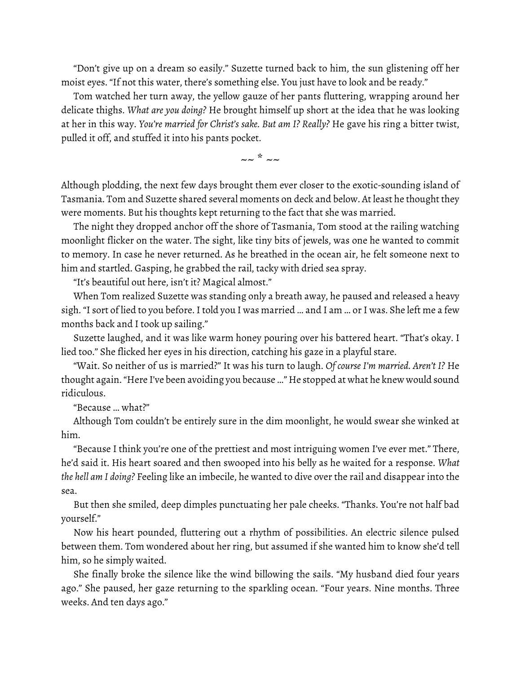"Don't give up on a dream so easily." Suzette turned back to him, the sun glistening off her moist eyes. "If not this water, there's something else. You just have to look and be ready."

Tom watched her turn away, the yellow gauze of her pants fluttering, wrapping around her delicate thighs. *What are you doing?* He brought himself up short at the idea that he was looking at her in this way. *You're married for Christ's sake. But am I? Really?* He gave his ring a bitter twist, pulled it off, and stuffed it into his pants pocket.

 $\sim$  \*  $\sim$   $\sim$ 

Although plodding, the next few days brought them ever closer to the exotic-sounding island of Tasmania. Tom and Suzette shared several moments on deck and below. At least he thought they were moments. But his thoughts kept returning to the fact that she was married.

The night they dropped anchor off the shore of Tasmania, Tom stood at the railing watching moonlight flicker on the water. The sight, like tiny bits of jewels, was one he wanted to commit to memory. In case he never returned. As he breathed in the ocean air, he felt someone next to him and startled. Gasping, he grabbed the rail, tacky with dried sea spray.

"It's beautiful out here, isn't it? Magical almost."

When Tom realized Suzette was standing only a breath away, he paused and released a heavy sigh. "I sort of lied to you before. I told you I was married … and I am … or I was. She left me a few months back and I took up sailing."

Suzette laughed, and it was like warm honey pouring over his battered heart. "That's okay. I lied too." She flicked her eyes in his direction, catching his gaze in a playful stare.

"Wait. So neither of us is married?" It was his turn to laugh. *Of course I'm married. Aren't I?* He thought again. "Here I've been avoiding you because …" He stopped at what he knew would sound ridiculous.

"Because … what?"

Although Tom couldn't be entirely sure in the dim moonlight, he would swear she winked at him.

"Because I think you're one of the prettiest and most intriguing women I've ever met." There, he'd said it. His heart soared and then swooped into his belly as he waited for a response. *What the hell am I doing?* Feeling like an imbecile, he wanted to dive over the rail and disappear into the sea.

But then she smiled, deep dimples punctuating her pale cheeks. "Thanks. You're not half bad yourself."

Now his heart pounded, fluttering out a rhythm of possibilities. An electric silence pulsed between them. Tom wondered about her ring, but assumed if she wanted him to know she'd tell him, so he simply waited.

She finally broke the silence like the wind billowing the sails. "My husband died four years ago." She paused, her gaze returning to the sparkling ocean. "Four years. Nine months. Three weeks. And ten days ago."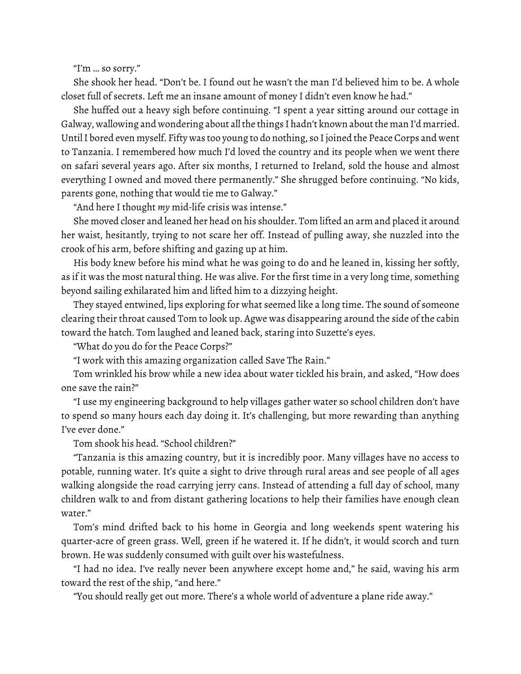"I'm … so sorry."

She shook her head. "Don't be. I found out he wasn't the man I'd believed him to be. A whole closet full of secrets. Left me an insane amount of money I didn't even know he had."

She huffed out a heavy sigh before continuing. "I spent a year sitting around our cottage in Galway, wallowing and wondering about all the things I hadn't known about the man I'd married. Until I bored even myself. Fifty was too young to do nothing, so I joined the Peace Corps and went to Tanzania. I remembered how much I'd loved the country and its people when we went there on safari several years ago. After six months, I returned to Ireland, sold the house and almost everything I owned and moved there permanently." She shrugged before continuing. "No kids, parents gone, nothing that would tie me to Galway."

"And here I thought *my* mid-life crisis was intense."

She moved closer and leaned her head on his shoulder. Tom lifted an arm and placed it around her waist, hesitantly, trying to not scare her off. Instead of pulling away, she nuzzled into the crook of his arm, before shifting and gazing up at him.

His body knew before his mind what he was going to do and he leaned in, kissing her softly, as if it was the most natural thing. He was alive. For the first time in a very long time, something beyond sailing exhilarated him and lifted him to a dizzying height.

They stayed entwined, lips exploring for what seemed like a long time. The sound of someone clearing their throat caused Tom to look up. Agwe was disappearing around the side of the cabin toward the hatch. Tom laughed and leaned back, staring into Suzette's eyes.

"What do you do for the Peace Corps?"

"I work with this amazing organization called Save The Rain."

Tom wrinkled his brow while a new idea about water tickled his brain, and asked, "How does one save the rain?"

"I use my engineering background to help villages gather water so school children don't have to spend so many hours each day doing it. It's challenging, but more rewarding than anything I've ever done."

Tom shook his head. "School children?"

"Tanzania is this amazing country, but it is incredibly poor. Many villages have no access to potable, running water. It's quite a sight to drive through rural areas and see people of all ages walking alongside the road carrying jerry cans. Instead of attending a full day of school, many children walk to and from distant gathering locations to help their families have enough clean water."

Tom's mind drifted back to his home in Georgia and long weekends spent watering his quarter-acre of green grass. Well, green if he watered it. If he didn't, it would scorch and turn brown. He was suddenly consumed with guilt over his wastefulness.

"I had no idea. I've really never been anywhere except home and," he said, waving his arm toward the rest of the ship, "and here."

"You should really get out more. There's a whole world of adventure a plane ride away."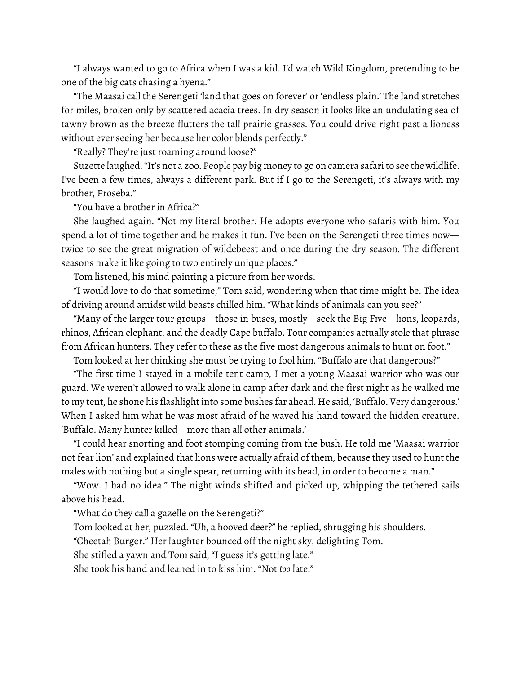"I always wanted to go to Africa when I was a kid. I'd watch Wild Kingdom, pretending to be one of the big cats chasing a hyena."

"The Maasai call the Serengeti 'land that goes on forever' or 'endless plain.' The land stretches for miles, broken only by scattered acacia trees. In dry season it looks like an undulating sea of tawny brown as the breeze flutters the tall prairie grasses. You could drive right past a lioness without ever seeing her because her color blends perfectly."

"Really? They're just roaming around loose?"

Suzette laughed. "It's not a zoo. People pay big money to go on camera safari to see the wildlife. I've been a few times, always a different park. But if I go to the Serengeti, it's always with my brother, Proseba."

"You have a brother in Africa?"

She laughed again. "Not my literal brother. He adopts everyone who safaris with him. You spend a lot of time together and he makes it fun. I've been on the Serengeti three times now twice to see the great migration of wildebeest and once during the dry season. The different seasons make it like going to two entirely unique places."

Tom listened, his mind painting a picture from her words.

"I would love to do that sometime," Tom said, wondering when that time might be. The idea of driving around amidst wild beasts chilled him. "What kinds of animals can you see?"

"Many of the larger tour groups—those in buses, mostly—seek the Big Five—lions, leopards, rhinos, African elephant, and the deadly Cape buffalo. Tour companies actually stole that phrase from African hunters. They refer to these as the five most dangerous animals to hunt on foot."

Tom looked at her thinking she must be trying to fool him. "Buffalo are that dangerous?"

"The first time I stayed in a mobile tent camp, I met a young Maasai warrior who was our guard. We weren't allowed to walk alone in camp after dark and the first night as he walked me to my tent, he shone his flashlight into some bushes far ahead. He said, 'Buffalo. Very dangerous.' When I asked him what he was most afraid of he waved his hand toward the hidden creature. 'Buffalo. Many hunter killed—more than all other animals.'

"I could hear snorting and foot stomping coming from the bush. He told me 'Maasai warrior not fear lion' and explained that lions were actually afraid of them, because they used to hunt the males with nothing but a single spear, returning with its head, in order to become a man."

"Wow. I had no idea." The night winds shifted and picked up, whipping the tethered sails above his head.

"What do they call a gazelle on the Serengeti?"

Tom looked at her, puzzled. "Uh, a hooved deer?" he replied, shrugging his shoulders.

"Cheetah Burger." Her laughter bounced off the night sky, delighting Tom.

She stifled a yawn and Tom said, "I guess it's getting late."

She took his hand and leaned in to kiss him. "Not *too* late."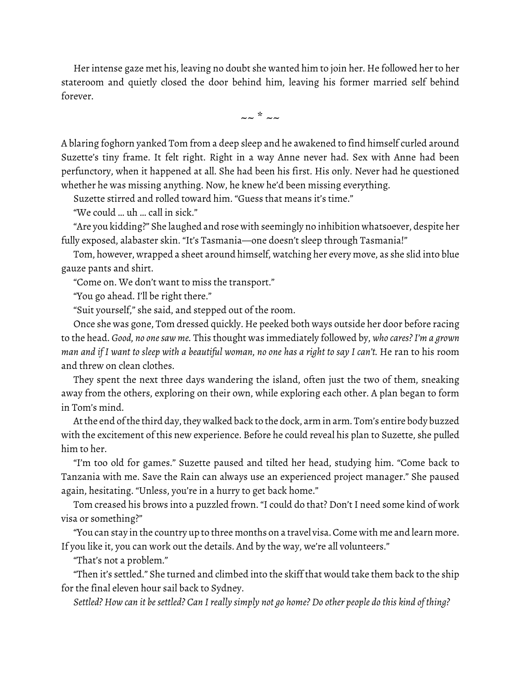Her intense gaze met his, leaving no doubt she wanted him to join her. He followed her to her stateroom and quietly closed the door behind him, leaving his former married self behind forever.

 $\sim$  \*  $\sim$   $\sim$ 

A blaring foghorn yanked Tom from a deep sleep and he awakened to find himself curled around Suzette's tiny frame. It felt right. Right in a way Anne never had. Sex with Anne had been perfunctory, when it happened at all. She had been his first. His only. Never had he questioned whether he was missing anything. Now, he knew he'd been missing everything.

Suzette stirred and rolled toward him. "Guess that means it's time."

"We could … uh … call in sick."

"Are you kidding?" She laughed and rose with seemingly no inhibition whatsoever, despite her fully exposed, alabaster skin. "It's Tasmania—one doesn't sleep through Tasmania!"

Tom, however, wrapped a sheet around himself, watching her every move, as she slid into blue gauze pants and shirt.

"Come on. We don't want to miss the transport."

"You go ahead. I'll be right there."

"Suit yourself," she said, and stepped out of the room.

Once she was gone, Tom dressed quickly. He peeked both ways outside her door before racing to the head. *Good, no one saw me.* This thought was immediately followed by, *who cares? I'm a grown man and if I want to sleep with a beautiful woman, no one has a right to say I can't.* He ran to his room and threw on clean clothes.

They spent the next three days wandering the island, often just the two of them, sneaking away from the others, exploring on their own, while exploring each other. A plan began to form in Tom's mind.

At the end of the third day, they walked back to the dock, arm in arm. Tom's entire body buzzed with the excitement of this new experience. Before he could reveal his plan to Suzette, she pulled him to her.

"I'm too old for games." Suzette paused and tilted her head, studying him. "Come back to Tanzania with me. Save the Rain can always use an experienced project manager." She paused again, hesitating. "Unless, you're in a hurry to get back home."

Tom creased his brows into a puzzled frown. "I could do that? Don't I need some kind of work visa or something?"

"You can stay in the country up to three months on a travel visa. Come with me and learn more. If you like it, you can work out the details. And by the way, we're all volunteers."

"That's not a problem."

"Then it's settled." She turned and climbed into the skiff that would take them back to the ship for the final eleven hour sail back to Sydney.

*Settled? How can it be settled? Can I really simply not go home? Do other people do this kind of thing?*